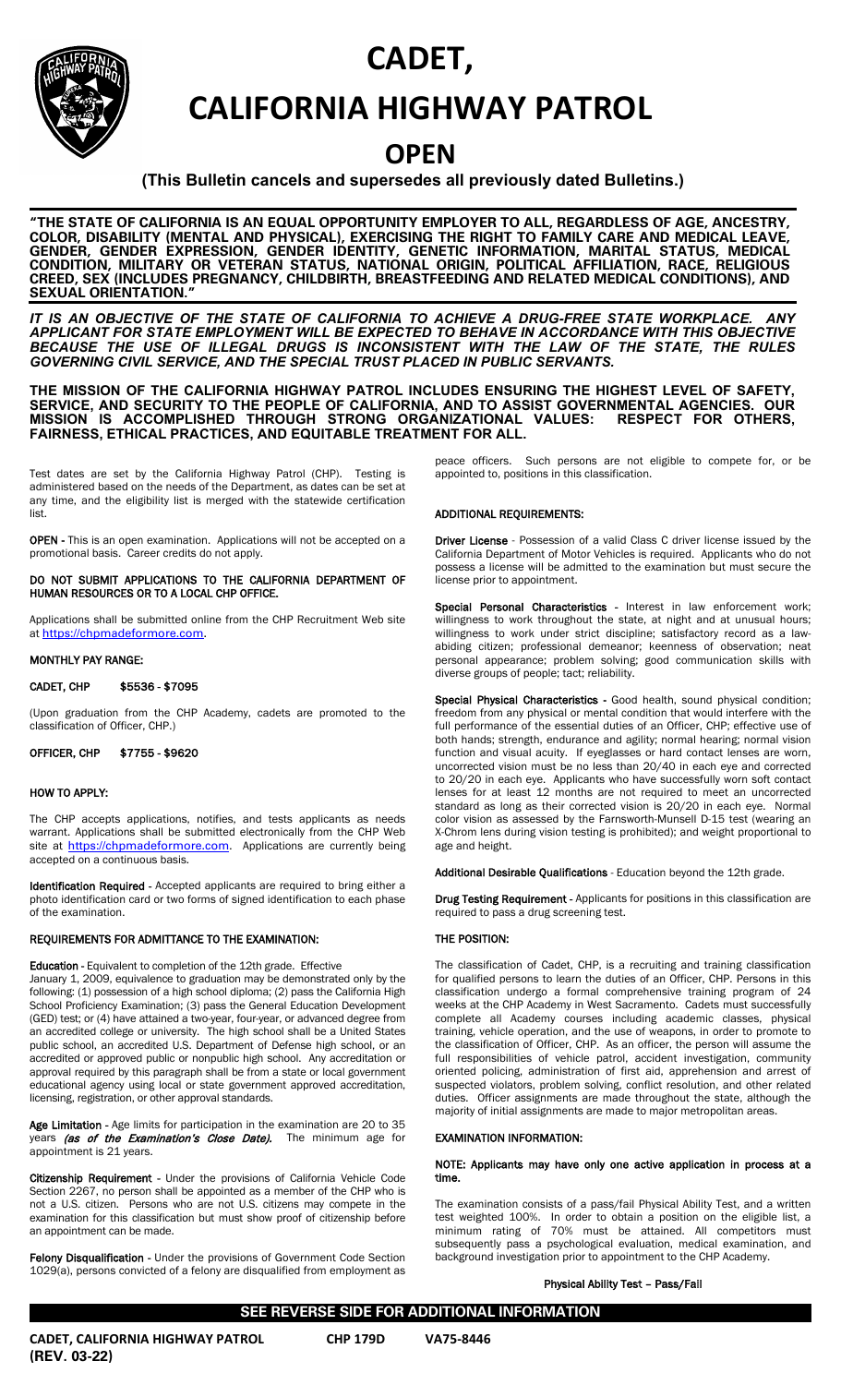# **CADET,**



## **CALIFORNIA HIGHWAY PATROL**

## **OPEN**

## **(This Bulletin cancels and supersedes all previously dated Bulletins.)**

**"THE STATE OF CALIFORNIA IS AN EQUAL OPPORTUNITY EMPLOYER TO ALL, REGARDLESS OF AGE, ANCESTRY, COLOR, DISABILITY (MENTAL AND PHYSICAL), EXERCISING THE RIGHT TO FAMILY CARE AND MEDICAL LEAVE, GENDER, GENDER EXPRESSION, GENDER IDENTITY, GENETIC INFORMATION, MARITAL STATUS, MEDICAL CONDITION, MILITARY OR VETERAN STATUS, NATIONAL ORIGIN, POLITICAL AFFILIATION, RACE, RELIGIOUS CREED, SEX (INCLUDES PREGNANCY, CHILDBIRTH, BREASTFEEDING AND RELATED MEDICAL CONDITIONS), AND SEXUAL ORIENTATION."**

*IT IS AN OBJECTIVE OF THE STATE OF CALIFORNIA TO ACHIEVE A DRUG-FREE STATE WORKPLACE. ANY APPLICANT FOR STATE EMPLOYMENT WILL BE EXPECTED TO BEHAVE IN ACCORDANCE WITH THIS OBJECTIVE BECAUSE THE USE OF ILLEGAL DRUGS IS INCONSISTENT WITH THE LAW OF THE STATE, THE RULES GOVERNING CIVIL SERVICE, AND THE SPECIAL TRUST PLACED IN PUBLIC SERVANTS.*

**THE MISSION OF THE CALIFORNIA HIGHWAY PATROL INCLUDES ENSURING THE HIGHEST LEVEL OF SAFETY, SERVICE, AND SECURITY TO THE PEOPLE OF CALIFORNIA, AND TO ASSIST GOVERNMENTAL AGENCIES. OUR MISSION IS ACCOMPLISHED THROUGH STRONG ORGANIZATIONAL VALUES: RESPECT FOR OTHERS, FAIRNESS, ETHICAL PRACTICES, AND EQUITABLE TREATMENT FOR ALL.**

Test dates are set by the California Highway Patrol (CHP). Testing is administered based on the needs of the Department, as dates can be set at any time, and the eligibility list is merged with the statewide certification list.

OPEN - This is an open examination. Applications will not be accepted on a promotional basis. Career credits do not apply.

DO NOT SUBMIT APPLICATIONS TO THE CALIFORNIA DEPARTMENT OF HUMAN RESOURCES OR TO A LOCAL CHP OFFICE.

Applications shall be submitted online from the CHP Recruitment Web site at [https://chpmadeformore.com.](https://gcc02.safelinks.protection.outlook.com/?url=https%3A%2F%2Fchpmadeformore.com%2F&data=04%7C01%7CShana.Barry%40chp.ca.gov%7C2194e79b67a34e390e2708d979f8525e%7Cf1e2e89e71904b0f9463d7f5b09db86c%7C0%7C0%7C637674929709132921%7CUnknown%7CTWFpbGZsb3d8eyJWIjoiMC4wLjAwMDAiLCJQIjoiV2luMzIiLCJBTiI6Ik1haWwiLCJXVCI6Mn0%3D%7C1000&sdata=v0p7wLQkF4DVyWcgAuDWma1mvjYwpI1xS6DU61RyH%2Bs%3D&reserved=0)

## MONTHLY PAY RANGE:

## CADET, CHP \$5536 - \$7095

(Upon graduation from the CHP Academy, cadets are promoted to the classification of Officer, CHP.)

OFFICER, CHP \$7755 - \$9620

## HOW TO APPLY:

The CHP accepts applications, notifies, and tests applicants as needs warrant. Applications shall be submitted electronically from the CHP Web site at [https://chpmadeformore.com](https://gcc02.safelinks.protection.outlook.com/?url=https%3A%2F%2Fchpmadeformore.com%2F&data=04%7C01%7CShana.Barry%40chp.ca.gov%7C2194e79b67a34e390e2708d979f8525e%7Cf1e2e89e71904b0f9463d7f5b09db86c%7C0%7C0%7C637674929709132921%7CUnknown%7CTWFpbGZsb3d8eyJWIjoiMC4wLjAwMDAiLCJQIjoiV2luMzIiLCJBTiI6Ik1haWwiLCJXVCI6Mn0%3D%7C1000&sdata=v0p7wLQkF4DVyWcgAuDWma1mvjYwpI1xS6DU61RyH%2Bs%3D&reserved=0). Applications are currently being accepted on a continuous basis.

Identification Required - Accepted applicants are required to bring either a photo identification card or two forms of signed identification to each phase of the examination.

## REQUIREMENTS FOR ADMITTANCE TO THE EXAMINATION:

Education - Equivalent to completion of the 12th grade. Effective January 1, 2009, equivalence to graduation may be demonstrated only by the following: (1) possession of a high school diploma; (2) pass the California High School Proficiency Examination; (3) pass the General Education Development (GED) test; or (4) have attained a two-year, four-year, or advanced degree from an accredited college or university. The high school shall be a United States public school, an accredited U.S. Department of Defense high school, or an accredited or approved public or nonpublic high school. Any accreditation or approval required by this paragraph shall be from a state or local government educational agency using local or state government approved accreditation,

Age Limitation - Age limits for participation in the examination are 20 to 35 years (as of the Examination's Close Date). The minimum age for appointment is 21 years.

Citizenship Requirement - Under the provisions of California Vehicle Code Section 2267, no person shall be appointed as a member of the CHP who is not a U.S. citizen. Persons who are not U.S. citizens may compete in the examination for this classification but must show proof of citizenship before an appointment can be made.

**Felony Disqualification - Under the provisions of Government Code Section** 1029(a), persons convicted of a felony are disqualified from employment as peace officers. Such persons are not eligible to compete for, or be appointed to, positions in this classification.

## ADDITIONAL REQUIREMENTS:

Driver License - Possession of a valid Class C driver license issued by the California Department of Motor Vehicles is required. Applicants who do not possess a license will be admitted to the examination but must secure the license prior to appointment.

Special Personal Characteristics - Interest in law enforcement work; willingness to work throughout the state, at night and at unusual hours; willingness to work under strict discipline; satisfactory record as a lawabiding citizen; professional demeanor; keenness of observation; neat personal appearance; problem solving; good communication skills with diverse groups of people; tact; reliability.

Special Physical Characteristics - Good health, sound physical condition; freedom from any physical or mental condition that would interfere with the full performance of the essential duties of an Officer, CHP; effective use of both hands; strength, endurance and agility; normal hearing; normal vision function and visual acuity. If eyeglasses or hard contact lenses are worn, uncorrected vision must be no less than 20/40 in each eye and corrected to 20/20 in each eye. Applicants who have successfully worn soft contact lenses for at least 12 months are not required to meet an uncorrected standard as long as their corrected vision is 20/20 in each eye. Normal color vision as assessed by the Farnsworth-Munsell D-15 test (wearing an X-Chrom lens during vision testing is prohibited); and weight proportional to age and height.

Additional Desirable Qualifications - Education beyond the 12th grade.

Drug Testing Requirement - Applicants for positions in this classification are required to pass a drug screening test.

## THE POSITION:

The classification of Cadet, CHP, is a recruiting and training classification for qualified persons to learn the duties of an Officer, CHP. Persons in this classification undergo a formal comprehensive training program of 24 weeks at the CHP Academy in West Sacramento. Cadets must successfully complete all Academy courses including academic classes, physical training, vehicle operation, and the use of weapons, in order to promote to the classification of Officer, CHP. As an officer, the person will assume the full responsibilities of vehicle patrol, accident investigation, community oriented policing, administration of first aid, apprehension and arrest of suspected violators, problem solving, conflict resolution, and other related duties. Officer assignments are made throughout the state, although the majority of initial assignments are made to major metropolitan areas.

### EXAMINATION INFORMATION:

#### NOTE: Applicants may have only one active application in process at a time.

The examination consists of a pass/fail Physical Ability Test, and a written test weighted 100%. In order to obtain a position on the eligible list, a minimum rating of 70% must be attained. All competitors must subsequently pass a psychological evaluation, medical examination, and background investigation prior to appointment to the CHP Academy.

Physical Ability Test – Pass/Fail

**CADET, CALIFORNIA HIGHWAY PATROL CHP 179D VA75-8446 (REV. 03-22)** 

licensing, registration, or other approval standards.